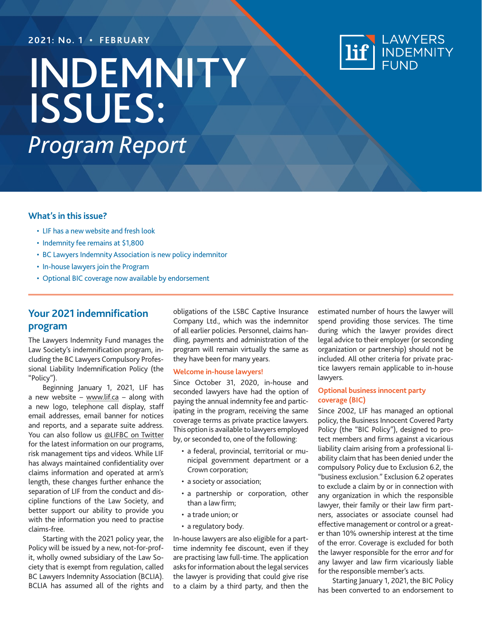### **2021: No. 1 • FEBRUARY**

# InDEMNITY issues: *Program Report*



### **What's in this issue?**

- LIF has a new website and fresh look
- Indemnity fee remains at \$1,800
- BC Lawyers Indemnity Association is new policy indemnitor
- In-house lawyers join the Program
- Optional BIC coverage now available by endorsement

### **Your 2021 indemnification program**

The Lawyers Indemnity Fund manages the Law Society's indemnification program, including the BC Lawyers Compulsory Professional Liability Indemnification Policy (the "Policy").

Beginning January 1, 2021, LIF has a new website – [www.lif.ca](https://www.lif.ca) – along with a new logo, telephone call display, staff email addresses, email banner for notices and reports, and a separate suite address. You can also follow us [@LIFBC](https://twitter.com/LIFbc) on Twitter for the latest information on our programs, risk management tips and videos. While LIF has always maintained confidentiality over claims information and operated at arm's length, these changes further enhance the separation of LIF from the conduct and discipline functions of the Law Society, and better support our ability to provide you with the information you need to practise claims-free.

Starting with the 2021 policy year, the Policy will be issued by a new, not-for-profit, wholly owned subsidiary of the Law Society that is exempt from regulation, called BC Lawyers Indemnity Association (BCLIA). BCLIA has assumed all of the rights and

obligations of the LSBC Captive Insurance Company Ltd., which was the indemnitor of all earlier policies. Personnel, claims handling, payments and administration of the program will remain virtually the same as they have been for many years.

#### **Welcome in-house lawyers!**

Since October 31, 2020, in-house and seconded lawyers have had the option of paying the annual indemnity fee and participating in the program, receiving the same coverage terms as private practice lawyers. This option is available to lawyers employed by, or seconded to, one of the following:

- a federal, provincial, territorial or municipal government department or a Crown corporation;
- a society or association;
- a partnership or corporation, other than a law firm;
- a trade union; or
- a regulatory body.

In-house lawyers are also eligible for a parttime indemnity fee discount, even if they are practising law full-time. The application asks for information about the legal services the lawyer is providing that could give rise to a claim by a third party, and then the estimated number of hours the lawyer will spend providing those services. The time during which the lawyer provides direct legal advice to their employer (or seconding organization or partnership) should not be included. All other criteria for private practice lawyers remain applicable to in-house lawyers.

### **Optional business innocent party coverage (BIC)**

Since 2002, LIF has managed an optional policy, the Business Innocent Covered Party Policy (the "BIC Policy"), designed to protect members and firms against a vicarious liability claim arising from a professional liability claim that has been denied under the compulsory Policy due to Exclusion 6.2, the "business exclusion." Exclusion 6.2 operates to exclude a claim by or in connection with any organization in which the responsible lawyer, their family or their law firm partners, associates or associate counsel had effective management or control or a greater than 10% ownership interest at the time of the error. Coverage is excluded for both the lawyer responsible for the error *and* for any lawyer and law firm vicariously liable for the responsible member's acts.

Starting January 1, 2021, the BIC Policy has been converted to an endorsement to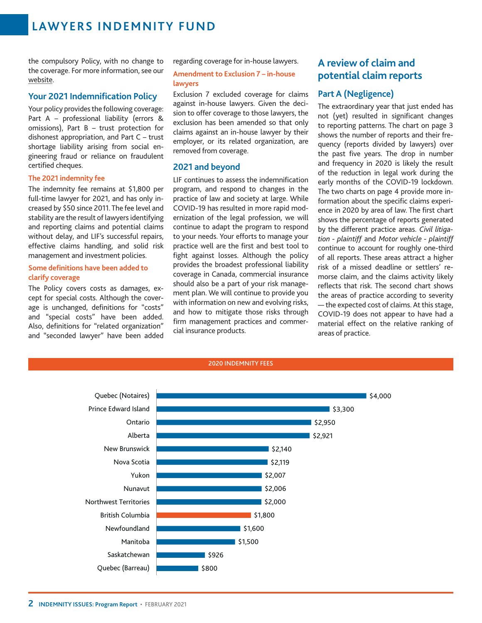the compulsory Policy, with no change to the coverage. For more information, see our [website.](https://www.lif.ca/your-policy/optional-coverage/)

### **Your 2021 Indemnification Policy**

Your policy provides the following coverage: Part A – professional liability (errors & omissions), Part B – trust protection for dishonest appropriation, and Part C – trust shortage liability arising from social engineering fraud or reliance on fraudulent certified cheques.

### **The 2021 indemnity fee**

The indemnity fee remains at \$1,800 per full-time lawyer for 2021, and has only increased by \$50 since 2011. The fee level and stability are the result of lawyers identifying and reporting claims and potential claims without delay, and LIF's successful repairs, effective claims handling, and solid risk management and investment policies.

### **Some definitions have been added to clarify coverage**

The Policy covers costs as damages, except for special costs. Although the coverage is unchanged, definitions for "costs" and "special costs" have been added. Also, definitions for "related organization" and "seconded lawyer" have been added regarding coverage for in-house lawyers.

### **Amendment to Exclusion 7 – in-house lawyers**

Exclusion 7 excluded coverage for claims against in-house lawyers. Given the decision to offer coverage to those lawyers, the exclusion has been amended so that only claims against an in-house lawyer by their employer, or its related organization, are removed from coverage.

### **2021 and beyond**

LIF continues to assess the indemnification program, and respond to changes in the practice of law and society at large. While COVID-19 has resulted in more rapid modernization of the legal profession, we will continue to adapt the program to respond to your needs. Your efforts to manage your practice well are the first and best tool to fight against losses. Although the policy provides the broadest professional liability coverage in Canada, commercial insurance should also be a part of your risk management plan. We will continue to provide you with information on new and evolving risks, and how to mitigate those risks through firm management practices and commercial insurance products.

### **A review of claim and potential claim reports**

### **Part A (Negligence)**

The extraordinary year that just ended has not (yet) resulted in significant changes to reporting patterns. The chart on page 3 shows the number of reports and their frequency (reports divided by lawyers) over the past five years. The drop in number and frequency in 2020 is likely the result of the reduction in legal work during the early months of the COVID-19 lockdown. The two charts on page 4 provide more information about the specific claims experience in 2020 by area of law. The first chart shows the percentage of reports generated by the different practice areas. *Civil litigation - plaintiff* and *Motor vehicle - plaintiff* continue to account for roughly one-third of all reports. These areas attract a higher risk of a missed deadline or settlers' remorse claim, and the claims activity likely reflects that risk. The second chart shows the areas of practice according to severity  $-$  the expected cost of claims. At this stage, COVID-19 does not appear to have had a material effect on the relative ranking of areas of practice.

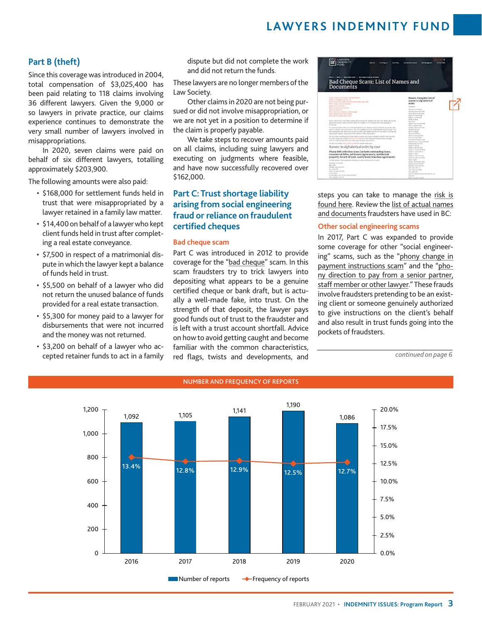### **Part B (theft)**

Since this coverage was introduced in 2004, total compensation of \$3,025,400 has been paid relating to 118 claims involving 36 different lawyers. Given the 9,000 or so lawyers in private practice, our claims experience continues to demonstrate the very small number of lawyers involved in misappropriations.

In 2020, seven claims were paid on behalf of six different lawyers, totalling approximately \$203,900.

The following amounts were also paid:

- \$168,000 for settlement funds held in trust that were misappropriated by a lawyer retained in a family law matter.
- • \$14,400 on behalf of a lawyer who kept client funds held in trust after completing a real estate conveyance.
- \$7,500 in respect of a matrimonial dispute in which the lawyer kept a balance of funds held in trust.
- • \$5,500 on behalf of a lawyer who did not return the unused balance of funds provided for a real estate transaction.
- • \$5,300 for money paid to a lawyer for disbursements that were not incurred and the money was not returned.
- • \$3,200 on behalf of a lawyer who accepted retainer funds to act in a family

dispute but did not complete the work and did not return the funds.

These lawyers are no longer members of the Law Society.

Other claimsin 2020 are not being pursued or did not involve misappropriation, or we are not yet in a position to determine if the claim is properly payable.

We take steps to recover amounts paid on all claims, including suing lawyers and executing on judgments where feasible, and have now successfully recovered over \$162,000.

### **Part C: Trust shortage liability arising from social engineering fraud or reliance on fraudulent certified cheques**

### **Bad cheque scam**

Part C was introduced in 2012 to provide coverage for the "bad [cheque](https://www.lif.ca/risk-management/fraud-prevention/bad-cheque-scam/)" scam. In this scam fraudsters try to trick lawyers into depositing what appears to be a genuine certified cheque or bank draft, but is actually a well-made fake, into trust. On the strength of that deposit, the lawyer pays good funds out of trust to the fraudster and is left with a trust account shortfall. Advice on how to avoid getting caught and become familiar with the common characteristics, red flags, twists and developments, and

| <b>San Friday</b>                                                                                                                                                                                                                                                                                                                                                                                                                                                                                                                                                                                                                                                                                                                                                                                                                                                                                                                                                                                                                                                                                                                                                                     | <b><i><u>STERNOON</u></i></b>                                                                                                                                                                                                                                                                                                                                                                                                                                                                  |  |
|---------------------------------------------------------------------------------------------------------------------------------------------------------------------------------------------------------------------------------------------------------------------------------------------------------------------------------------------------------------------------------------------------------------------------------------------------------------------------------------------------------------------------------------------------------------------------------------------------------------------------------------------------------------------------------------------------------------------------------------------------------------------------------------------------------------------------------------------------------------------------------------------------------------------------------------------------------------------------------------------------------------------------------------------------------------------------------------------------------------------------------------------------------------------------------------|------------------------------------------------------------------------------------------------------------------------------------------------------------------------------------------------------------------------------------------------------------------------------------------------------------------------------------------------------------------------------------------------------------------------------------------------------------------------------------------------|--|
| <b>RESIDENCE 2 / RECEIVED THE 24 YEARS</b><br>Bad Cheque Scam: List of Names and<br>Documents                                                                                                                                                                                                                                                                                                                                                                                                                                                                                                                                                                                                                                                                                                                                                                                                                                                                                                                                                                                                                                                                                         |                                                                                                                                                                                                                                                                                                                                                                                                                                                                                                |  |
| Ayrest Installation St. Program autobiological and<br>because it characteristics and the same<br>Many receipt rate darks only new this receipt twist cost.<br>Rent Holland and Marine Charles<br><b>Report Follows</b> 100                                                                                                                                                                                                                                                                                                                                                                                                                                                                                                                                                                                                                                                                                                                                                                                                                                                                                                                                                            | Names Coraclete Int of<br>account in eighteilen is ei<br>andes<br><b>STATISTICS</b>                                                                                                                                                                                                                                                                                                                                                                                                            |  |
| The article and of a subset<br>Management state<br>Manipulate a residence manager and other description<br>Buck started their risk streams<br>We're take form resident and residents.<br>design and all active of the annual series and the fundace had cost 1.45. There was the last<br>anything the state terms of the first state of a function is of an extent to the constraint of<br>division's.<br>the compressed divisions are symptoms of the cost. Moreover, because a financial stage as the spins<br>testimo e collide del coste sino all'estati di circo della consentazione di coste contabilidade alla colora del collidera del colora<br>In a constituted and registrated to high-a state and constitution of the country. Williams and<br>cannot appear region's, young governings, receive a factor color protects.<br>For their contributions better after rather at self-a third size and design of seath, much market<br>to limite insert at it until all formations and the formational and manufacturing<br>adasını ol'ter ilk desenvir oni singul geridi beşel işil gelenir.<br>And April main department or content procedillate that between the top to the | <b>Booker, &amp; Artest</b><br><b>Missing and details</b><br><b>Notes</b> , Name of Life Allen,<br>Daniel Average to All<br>SALVA - HOTCHIS<br><b>SHOW STATE</b><br><b>Service Street</b><br>Spring's Scholar (2010)<br>there contains on your<br>Autors, Textilo and<br><b>Bulgar Section</b><br><b>WITH THEFT</b><br>Marcha alan California di III.<br>Mine Relaysing Cards<br>The November 1984<br>Warran Warranteening<br>Most and . In on an interest chief with<br><b>Week bakermann</b> |  |
| Names: In alphabetical coder by ruse                                                                                                                                                                                                                                                                                                                                                                                                                                                                                                                                                                                                                                                                                                                                                                                                                                                                                                                                                                                                                                                                                                                                                  | <b>TORONTO, MATION</b><br>Marketing Art call with a<br><b>Replaced: Excellental Miller</b>                                                                                                                                                                                                                                                                                                                                                                                                     |  |
| Planty debt collection scarn (includes autoinsding loans,<br>conservid felix, with soni agreement, intributed<br>property benefit of treat, supers boad, franchise agreement).                                                                                                                                                                                                                                                                                                                                                                                                                                                                                                                                                                                                                                                                                                                                                                                                                                                                                                                                                                                                        | SAVA MARCO<br>NAMES AND DESCRIPTIONS<br><b>Sushalow was and home</b><br>Services and monitor                                                                                                                                                                                                                                                                                                                                                                                                   |  |
| instrumental in their aprentices informal surface design or last at more<br><b>Britton &amp; Silver</b><br><b>Bally Maryl</b><br>Arrested Standard Millered<br>Brix Seattle Blv.<br>Auto Automobile<br>Arrest Motors                                                                                                                                                                                                                                                                                                                                                                                                                                                                                                                                                                                                                                                                                                                                                                                                                                                                                                                                                                  | <b>NAME PARTIES</b><br>Modium, Tending Glob critics<br>Statistics, Assistant Millers<br>Sales to a street<br>lease class chiefs of<br>lines are the wind<br>St. Advis.<br>NATURA NASANJARANG MALAYAR TALI AN                                                                                                                                                                                                                                                                                   |  |

steps you can take to manage the [risk](https://www.lif.ca/risk-management/fraud-prevention/bad-cheque-scam/bad-cheque-scam-steps-to-manage-risk/) is [found](https://www.lif.ca/risk-management/fraud-prevention/bad-cheque-scam/bad-cheque-scam-steps-to-manage-risk/) here. Review the list of actual [names](https://www.lif.ca/risk-management/fraud-prevention/bad-cheque-scam/bad-cheque-scam-list-of-names/) and [documents](https://www.lif.ca/risk-management/fraud-prevention/bad-cheque-scam/bad-cheque-scam-list-of-names/) fraudsters have used in BC:

#### **Other social engineering scams**

In 2017, Part C was expanded to provide some coverage for other "social engineering" scams, such as the "phony [change](https://www.lif.ca/risk-management/fraud-prevention/other-social-engineering-scams-including-phony-cha/) in payment [instructions](https://www.lif.ca/risk-management/fraud-prevention/other-social-engineering-scams-including-phony-cha/) scam" and the ["pho](https://www.lif.ca/risk-management/fraud-prevention/other-social-engineering-scams-including-phony-cha/)ny [direction](https://www.lif.ca/risk-management/fraud-prevention/other-social-engineering-scams-including-phony-cha/) to pay from a senior partner, staff [member](https://www.lif.ca/risk-management/fraud-prevention/other-social-engineering-scams-including-phony-cha/) or other lawyer."These frauds involve fraudsters pretending to be an existing client or someone genuinely authorized to give instructions on the client's behalf and also result in trust funds going into the pockets of fraudsters.

*continued on page 6*



### NUMBER AND FREQUENCY OF REPORTS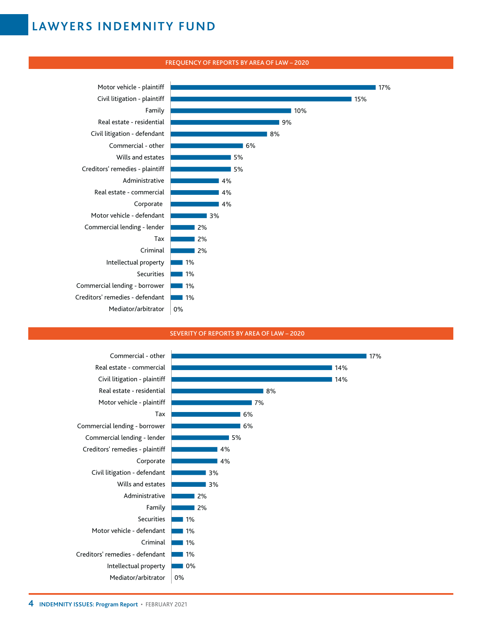

### FREQUENCY OF REPORTS BY AREA OF LAW – 2020

### SEVERITY OF REPORTS BY AREA OF LAW – 2020

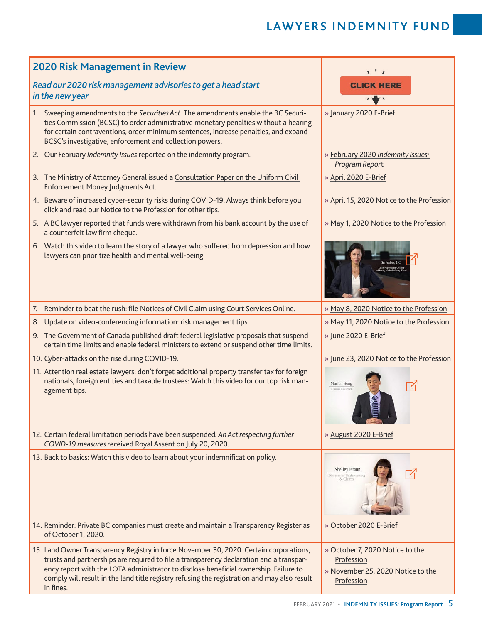| <b>2020 Risk Management in Review</b>                                                                                                                                                                                                                                                                                                                                                 | $\sqrt{1}$                                                                                       |
|---------------------------------------------------------------------------------------------------------------------------------------------------------------------------------------------------------------------------------------------------------------------------------------------------------------------------------------------------------------------------------------|--------------------------------------------------------------------------------------------------|
| Read our 2020 risk management advisories to get a head start<br>in the new year                                                                                                                                                                                                                                                                                                       | <b>CLICK HERE</b>                                                                                |
| Sweeping amendments to the Securities Act. The amendments enable the BC Securi-<br>1.<br>ties Commission (BCSC) to order administrative monetary penalties without a hearing<br>for certain contraventions, order minimum sentences, increase penalties, and expand<br>BCSC's investigative, enforcement and collection powers.                                                       | » January 2020 E-Brief                                                                           |
| 2. Our February Indemnity Issues reported on the indemnity program.                                                                                                                                                                                                                                                                                                                   | » February 2020 Indemnity Issues:<br>Program Report                                              |
| 3. The Ministry of Attorney General issued a Consultation Paper on the Uniform Civil<br><b>Enforcement Money Judgments Act.</b>                                                                                                                                                                                                                                                       | » April 2020 E-Brief                                                                             |
| 4. Beware of increased cyber-security risks during COVID-19. Always think before you<br>click and read our Notice to the Profession for other tips.                                                                                                                                                                                                                                   | » April 15, 2020 Notice to the Profession                                                        |
| 5. A BC lawyer reported that funds were withdrawn from his bank account by the use of<br>a counterfeit law firm cheque.                                                                                                                                                                                                                                                               | » May 1, 2020 Notice to the Profession                                                           |
| 6. Watch this video to learn the story of a lawyer who suffered from depression and how<br>lawyers can prioritize health and mental well-being.                                                                                                                                                                                                                                       | Su Forbes, QC                                                                                    |
| Reminder to beat the rush: file Notices of Civil Claim using Court Services Online.<br>7.                                                                                                                                                                                                                                                                                             | » May 8, 2020 Notice to the Profession                                                           |
| Update on video-conferencing information: risk management tips.<br>8.                                                                                                                                                                                                                                                                                                                 | » May 11, 2020 Notice to the Profession                                                          |
| 9. The Government of Canada published draft federal legislative proposals that suspend<br>certain time limits and enable federal ministers to extend or suspend other time limits.                                                                                                                                                                                                    | » June 2020 E-Brief                                                                              |
| 10. Cyber-attacks on the rise during COVID-19.                                                                                                                                                                                                                                                                                                                                        | » June 23, 2020 Notice to the Profession                                                         |
| 11. Attention real estate lawyers: don't forget additional property transfer tax for foreign<br>nationals, foreign entities and taxable trustees: Watch this video for our top risk man-<br>agement tips.                                                                                                                                                                             | Marlon Song<br>Claims Counse                                                                     |
| 12. Certain federal limitation periods have been suspended. An Act respecting further<br>COVID-19 measures received Royal Assent on July 20, 2020.                                                                                                                                                                                                                                    | » August 2020 E-Brief                                                                            |
| 13. Back to basics: Watch this video to learn about your indemnification policy.                                                                                                                                                                                                                                                                                                      | <b>Shelley Braun</b><br>Director of Underwritin<br>& Claims                                      |
| 14. Reminder: Private BC companies must create and maintain a Transparency Register as<br>of October 1, 2020.                                                                                                                                                                                                                                                                         | » October 2020 E-Brief                                                                           |
| 15. Land Owner Transparency Registry in force November 30, 2020. Certain corporations,<br>trusts and partnerships are required to file a transparency declaration and a transpar-<br>ency report with the LOTA administrator to disclose beneficial ownership. Failure to<br>comply will result in the land title registry refusing the registration and may also result<br>in fines. | » October 7, 2020 Notice to the<br>Profession<br>» November 25, 2020 Notice to the<br>Profession |